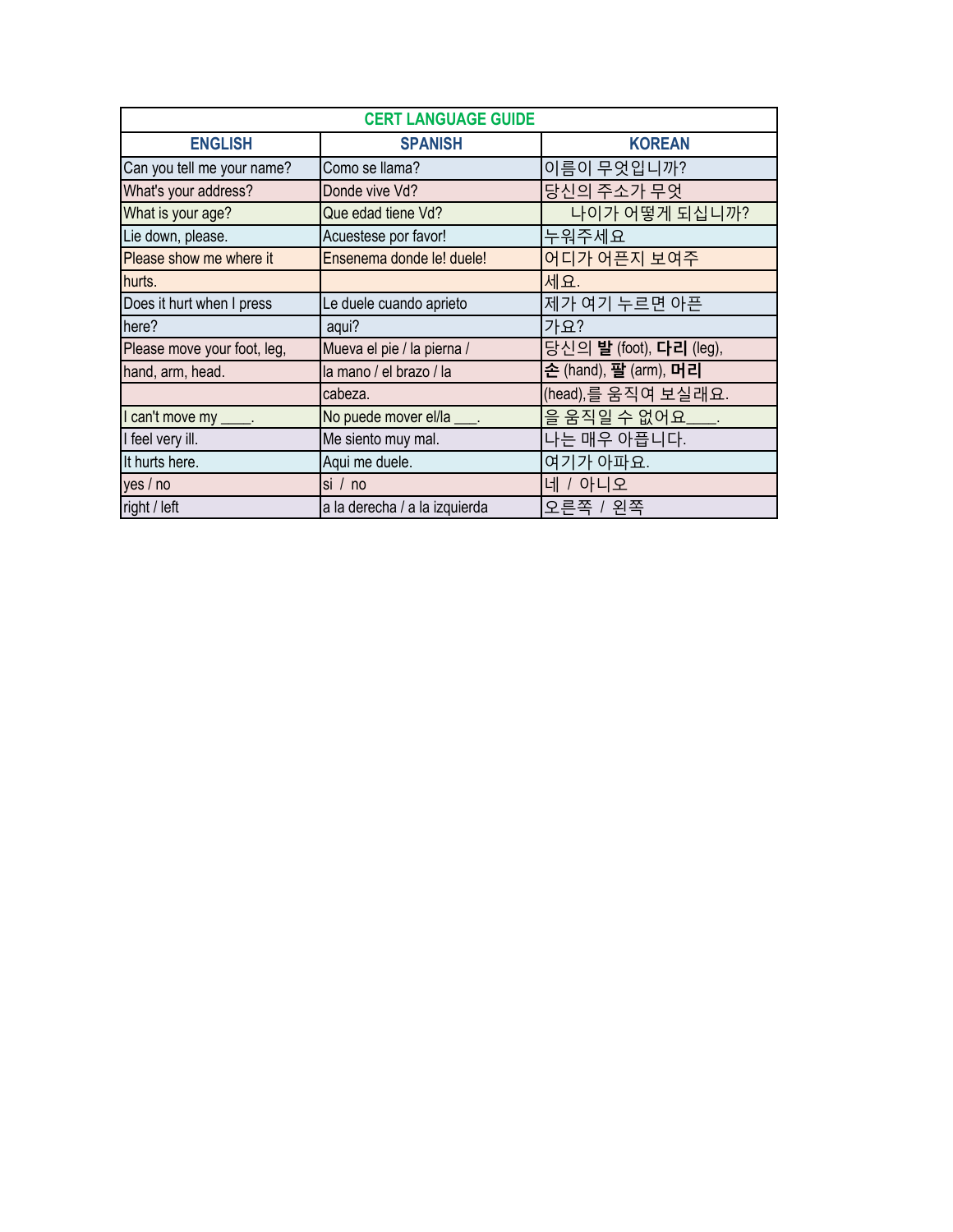| <b>CERT LANGUAGE GUIDE</b>  |                               |                         |
|-----------------------------|-------------------------------|-------------------------|
| <b>ENGLISH</b>              | <b>SPANISH</b>                | <b>KOREAN</b>           |
| Can you tell me your name?  | Como se llama?                | 이름이 무엇입니까?              |
| What's your address?        | Donde vive Vd?                | 당신의 주소가 무엇              |
| What is your age?           | Que edad tiene Vd?            | 나이가 어떻게 되십니까?           |
| Lie down, please.           | Acuestese por favor!          | 누워주세요                   |
| Please show me where it     | Ensenema donde le! duele!     | 어디가 어픈지 보여주             |
| hurts.                      |                               | 세요.                     |
| Does it hurt when I press   | Le duele cuando aprieto       | 제가 여기 누르면 아픈            |
| here?                       | aqui?                         | 가요?                     |
| Please move your foot, leg, | Mueva el pie / la pierna /    | 당신의 발 (foot), 다리 (leg), |
| hand, arm, head.            | la mano / el brazo / la       | 손 (hand), 팔 (arm), 머리   |
|                             | cabeza.                       | (head), 를 움직여 보실래요.     |
| I can't move my ____.       | No puede mover el/la ____.    | 을 움직일 수 없어요____.        |
| I feel very ill.            | Me siento muy mal.            | 나는 매우 아픕니다.             |
| It hurts here.              | Aqui me duele.                | 여기가 아파요.                |
| yes / no                    | si / no                       | 네 / 아니오                 |
| right / left                | a la derecha / a la izquierda | 오른쪽 / 왼쪽                |